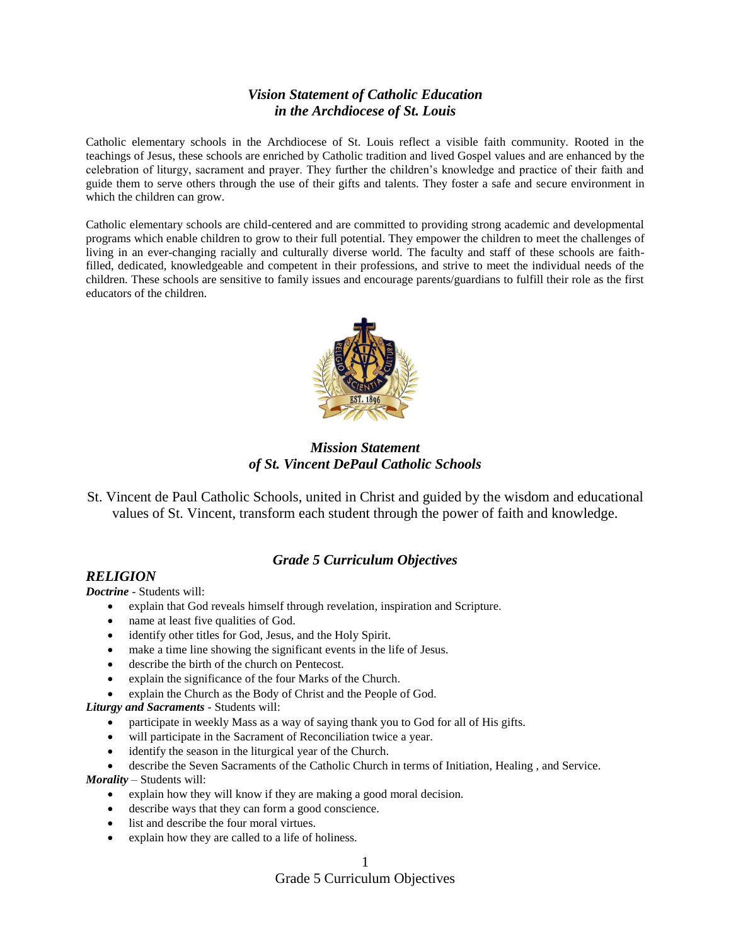# *Vision Statement of Catholic Education in the Archdiocese of St. Louis*

Catholic elementary schools in the Archdiocese of St. Louis reflect a visible faith community. Rooted in the teachings of Jesus, these schools are enriched by Catholic tradition and lived Gospel values and are enhanced by the celebration of liturgy, sacrament and prayer. They further the children's knowledge and practice of their faith and guide them to serve others through the use of their gifts and talents. They foster a safe and secure environment in which the children can grow.

Catholic elementary schools are child-centered and are committed to providing strong academic and developmental programs which enable children to grow to their full potential. They empower the children to meet the challenges of living in an ever-changing racially and culturally diverse world. The faculty and staff of these schools are faithfilled, dedicated, knowledgeable and competent in their professions, and strive to meet the individual needs of the children. These schools are sensitive to family issues and encourage parents/guardians to fulfill their role as the first educators of the children.



*Mission Statement of St. Vincent DePaul Catholic Schools*

St. Vincent de Paul Catholic Schools, united in Christ and guided by the wisdom and educational values of St. Vincent, transform each student through the power of faith and knowledge.

## *Grade 5 Curriculum Objectives*

### *RELIGION*

*Doctrine -* Students will:

- explain that God reveals himself through revelation, inspiration and Scripture.
- name at least five qualities of God.
- identify other titles for God, Jesus, and the Holy Spirit.
- make a time line showing the significant events in the life of Jesus.
- describe the birth of the church on Pentecost.
- explain the significance of the four Marks of the Church.
- explain the Church as the Body of Christ and the People of God.

*Liturgy and Sacraments -* Students will:

- participate in weekly Mass as a way of saying thank you to God for all of His gifts.
- will participate in the Sacrament of Reconciliation twice a year.
- identify the season in the liturgical year of the Church.
- describe the Seven Sacraments of the Catholic Church in terms of Initiation, Healing , and Service.

*Morality –* Students will:

- explain how they will know if they are making a good moral decision.
- describe ways that they can form a good conscience.
- list and describe the four moral virtues.
- explain how they are called to a life of holiness.

1

### Grade 5 Curriculum Objectives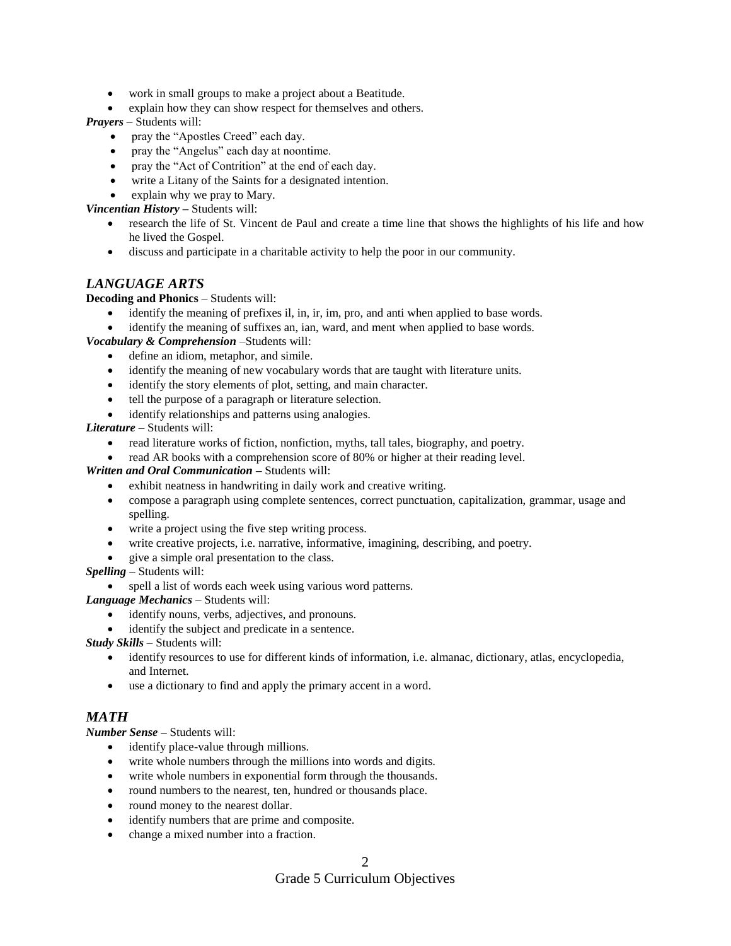- work in small groups to make a project about a Beatitude.
- explain how they can show respect for themselves and others.

*Prayers –* Students will:

- pray the "Apostles Creed" each day.
- pray the "Angelus" each day at noontime.
- pray the "Act of Contrition" at the end of each day.
- write a Litany of the Saints for a designated intention.
- explain why we pray to Mary.

*Vincentian History –* Students will:

- research the life of St. Vincent de Paul and create a time line that shows the highlights of his life and how he lived the Gospel.
- discuss and participate in a charitable activity to help the poor in our community.

### *LANGUAGE ARTS*

**Decoding and Phonics** – Students will:

- identify the meaning of prefixes il, in, ir, im, pro, and anti when applied to base words.
- identify the meaning of suffixes an, ian, ward, and ment when applied to base words.

*Vocabulary & Comprehension* –Students will:

- define an idiom, metaphor, and simile.
- identify the meaning of new vocabulary words that are taught with literature units.
- identify the story elements of plot, setting, and main character.
- tell the purpose of a paragraph or literature selection.
- identify relationships and patterns using analogies.

*Literature* – Students will:

- read literature works of fiction, nonfiction, myths, tall tales, biography, and poetry.
- read AR books with a comprehension score of 80% or higher at their reading level.

*Written and Oral Communication –* Students will:

- exhibit neatness in handwriting in daily work and creative writing.
- compose a paragraph using complete sentences, correct punctuation, capitalization, grammar, usage and spelling.
- write a project using the five step writing process.
- write creative projects, i.e. narrative, informative, imagining, describing, and poetry.
- give a simple oral presentation to the class.

*Spelling* – Students will:

spell a list of words each week using various word patterns.

*Language Mechanics* – Students will:

- identify nouns, verbs, adjectives, and pronouns.
- identify the subject and predicate in a sentence.

*Study Skills* – Students will:

- identify resources to use for different kinds of information, i.e. almanac, dictionary, atlas, encyclopedia, and Internet.
- use a dictionary to find and apply the primary accent in a word.

## *MATH*

*Number Sense –* Students will:

- identify place-value through millions.
- write whole numbers through the millions into words and digits.
- write whole numbers in exponential form through the thousands.
- round numbers to the nearest, ten, hundred or thousands place.
- round money to the nearest dollar.
- identify numbers that are prime and composite.
- change a mixed number into a fraction.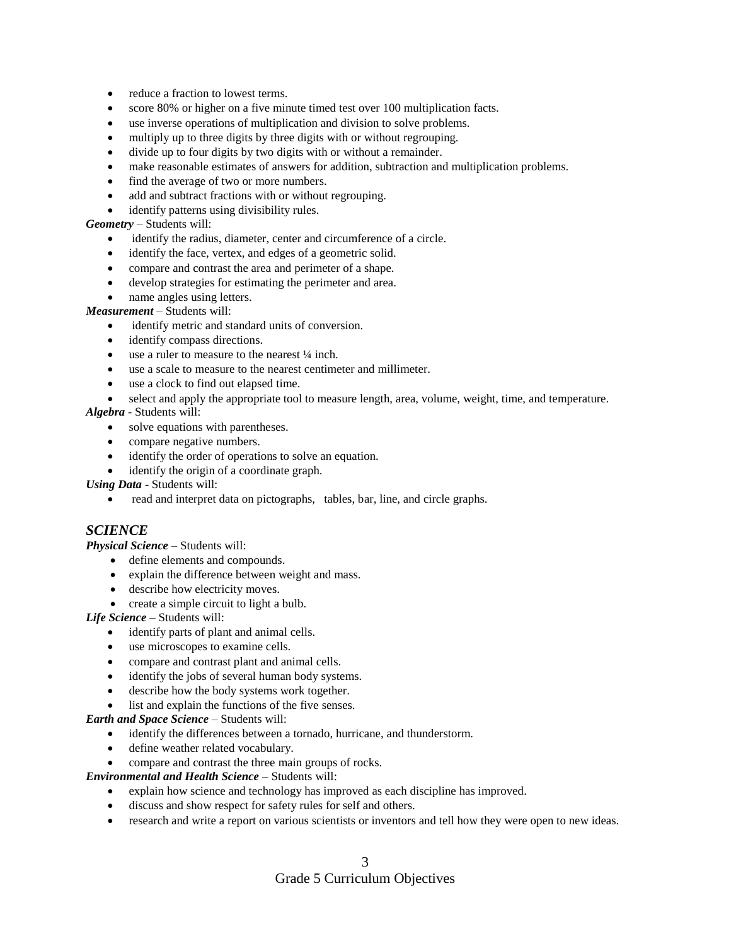- reduce a fraction to lowest terms.
- score 80% or higher on a five minute timed test over 100 multiplication facts.
- use inverse operations of multiplication and division to solve problems.
- multiply up to three digits by three digits with or without regrouping.
- divide up to four digits by two digits with or without a remainder.
- make reasonable estimates of answers for addition, subtraction and multiplication problems.
- find the average of two or more numbers.
- add and subtract fractions with or without regrouping.
- identify patterns using divisibility rules.

#### *Geometry* – Students will:

- identify the radius, diameter, center and circumference of a circle.
- identify the face, vertex, and edges of a geometric solid.
- compare and contrast the area and perimeter of a shape.
- develop strategies for estimating the perimeter and area.
- name angles using letters.

### *Measurement* – Students will:

- identify metric and standard units of conversion.
- identify compass directions.
- use a ruler to measure to the nearest ¼ inch.
- use a scale to measure to the nearest centimeter and millimeter.
- use a clock to find out elapsed time.
- select and apply the appropriate tool to measure length, area, volume, weight, time, and temperature.

#### *Algebra* - Students will:

- solve equations with parentheses.
- compare negative numbers.
- identify the order of operations to solve an equation.

identify the origin of a coordinate graph.

*Using Data* - Students will:

read and interpret data on pictographs, tables, bar, line, and circle graphs.

### *SCIENCE*

*Physical Science* – Students will:

- define elements and compounds.
- explain the difference between weight and mass.
- describe how electricity moves.
	- create a simple circuit to light a bulb.

*Life Science* – Students will:

- identify parts of plant and animal cells.
- use microscopes to examine cells.
- compare and contrast plant and animal cells.
- identify the jobs of several human body systems.
- describe how the body systems work together.
- list and explain the functions of the five senses.

#### *Earth and Space Science* – Students will:

- identify the differences between a tornado, hurricane, and thunderstorm.
- define weather related vocabulary.
- compare and contrast the three main groups of rocks.

*Environmental and Health Science* – Students will:

- explain how science and technology has improved as each discipline has improved.
- discuss and show respect for safety rules for self and others.
- research and write a report on various scientists or inventors and tell how they were open to new ideas.